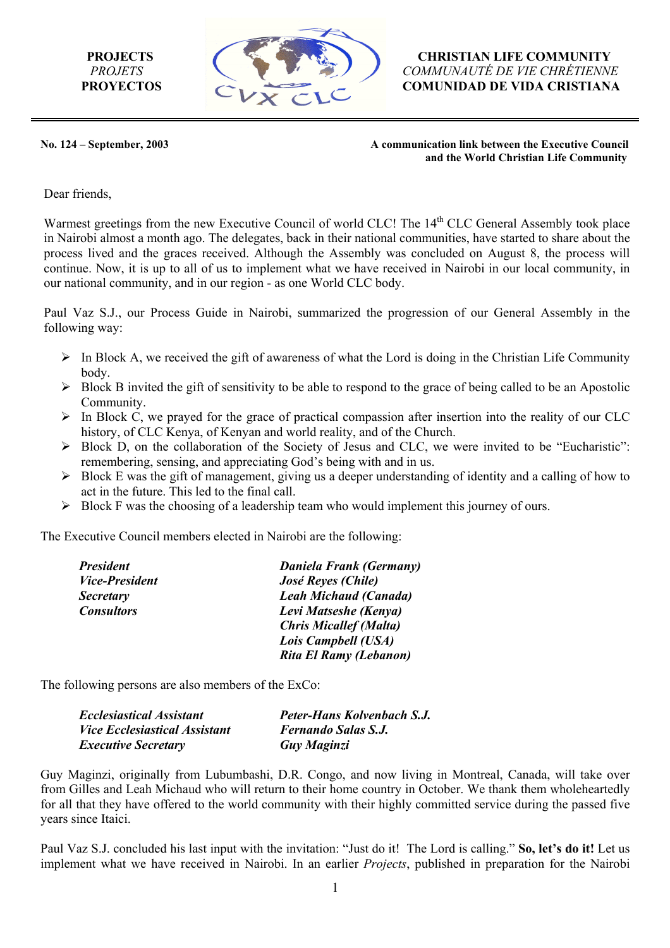

**PROJECTS** *CHRISTIAN LIFE COMMUNITY PROJETS COMMUNAUTÉ DE VIE CHRÉTIENNE* **PROYECTOS COMUNIDAD DE VIDA CRISTIANA** 

**No. 124 – September, 2003 A communication link between the Executive Council and the World Christian Life Community** 

Dear friends,

Warmest greetings from the new Executive Council of world CLC! The 14<sup>th</sup> CLC General Assembly took place in Nairobi almost a month ago. The delegates, back in their national communities, have started to share about the process lived and the graces received. Although the Assembly was concluded on August 8, the process will continue. Now, it is up to all of us to implement what we have received in Nairobi in our local community, in our national community, and in our region - as one World CLC body.

Paul Vaz S.J., our Process Guide in Nairobi, summarized the progression of our General Assembly in the following way:

- $\triangleright$  In Block A, we received the gift of awareness of what the Lord is doing in the Christian Life Community body.
- $\triangleright$  Block B invited the gift of sensitivity to be able to respond to the grace of being called to be an Apostolic **Community**
- $\triangleright$  In Block C, we prayed for the grace of practical compassion after insertion into the reality of our CLC history, of CLC Kenya, of Kenyan and world reality, and of the Church.
- $\triangleright$  Block D, on the collaboration of the Society of Jesus and CLC, we were invited to be "Eucharistic": remembering, sensing, and appreciating God's being with and in us.
- $\triangleright$  Block E was the gift of management, giving us a deeper understanding of identity and a calling of how to act in the future. This led to the final call.
- $\triangleright$  Block F was the choosing of a leadership team who would implement this journey of ours.

The Executive Council members elected in Nairobi are the following:

| <b>President</b>             | Daniela Frank (Germany)       |
|------------------------------|-------------------------------|
| <i><b>Vice-President</b></i> | José Reyes (Chile)            |
| <b>Secretary</b>             | <b>Leah Michaud (Canada)</b>  |
| <b>Consultors</b>            | Levi Matseshe (Kenya)         |
|                              | <b>Chris Micallef (Malta)</b> |
|                              | Lois Campbell (USA)           |
|                              | Rita El Ramy (Lebanon)        |

The following persons are also members of the ExCo:

| <b>Ecclesiastical Assistant</b>      | Peter-Hans Kolvenbach S.J. |
|--------------------------------------|----------------------------|
| <i>Vice Ecclesiastical Assistant</i> | <b>Fernando Salas S.J.</b> |
| <i><b>Executive Secretary</b></i>    | <b>Guy Maginzi</b>         |

Guy Maginzi, originally from Lubumbashi, D.R. Congo, and now living in Montreal, Canada, will take over from Gilles and Leah Michaud who will return to their home country in October. We thank them wholeheartedly for all that they have offered to the world community with their highly committed service during the passed five years since Itaici.

Paul Vaz S.J. concluded his last input with the invitation: "Just do it! The Lord is calling." **So, let's do it!** Let us implement what we have received in Nairobi. In an earlier *Projects*, published in preparation for the Nairobi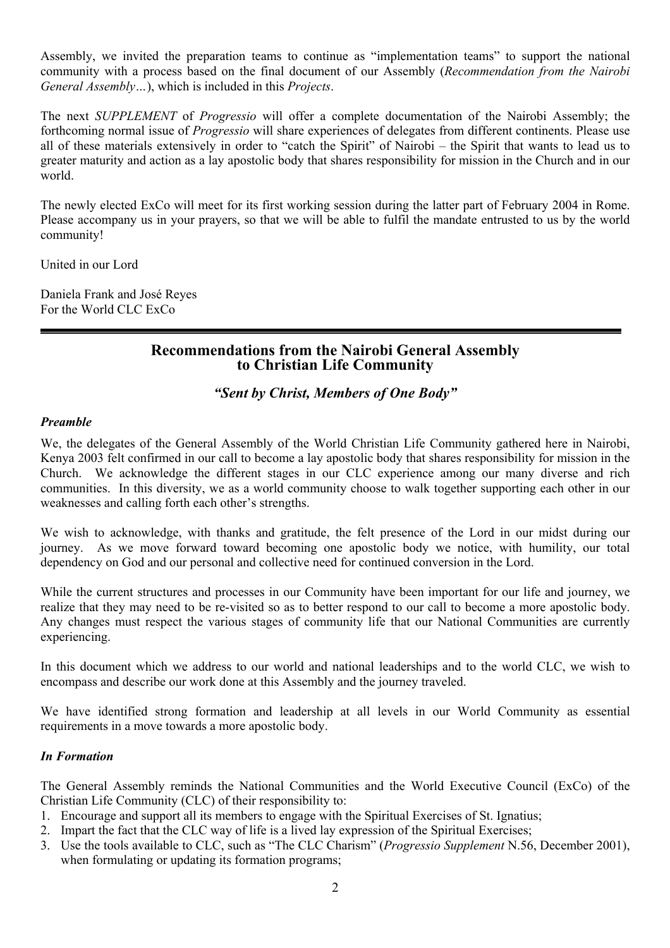Assembly, we invited the preparation teams to continue as "implementation teams" to support the national community with a process based on the final document of our Assembly (*Recommendation from the Nairobi General Assembly…*), which is included in this *Projects*.

The next *SUPPLEMENT* of *Progressio* will offer a complete documentation of the Nairobi Assembly; the forthcoming normal issue of *Progressio* will share experiences of delegates from different continents. Please use all of these materials extensively in order to "catch the Spirit" of Nairobi – the Spirit that wants to lead us to greater maturity and action as a lay apostolic body that shares responsibility for mission in the Church and in our world.

The newly elected ExCo will meet for its first working session during the latter part of February 2004 in Rome. Please accompany us in your prayers, so that we will be able to fulfil the mandate entrusted to us by the world community!

United in our Lord

Daniela Frank and José Reyes For the World CLC ExCo

## **Recommendations from the Nairobi General Assembly to Christian Life Community**

## *"Sent by Christ, Members of One Body"*

#### *Preamble*

We, the delegates of the General Assembly of the World Christian Life Community gathered here in Nairobi, Kenya 2003 felt confirmed in our call to become a lay apostolic body that shares responsibility for mission in the Church. We acknowledge the different stages in our CLC experience among our many diverse and rich communities. In this diversity, we as a world community choose to walk together supporting each other in our weaknesses and calling forth each other's strengths.

We wish to acknowledge, with thanks and gratitude, the felt presence of the Lord in our midst during our journey. As we move forward toward becoming one apostolic body we notice, with humility, our total dependency on God and our personal and collective need for continued conversion in the Lord.

While the current structures and processes in our Community have been important for our life and journey, we realize that they may need to be re-visited so as to better respond to our call to become a more apostolic body. Any changes must respect the various stages of community life that our National Communities are currently experiencing.

In this document which we address to our world and national leaderships and to the world CLC, we wish to encompass and describe our work done at this Assembly and the journey traveled.

We have identified strong formation and leadership at all levels in our World Community as essential requirements in a move towards a more apostolic body.

## *In Formation*

The General Assembly reminds the National Communities and the World Executive Council (ExCo) of the Christian Life Community (CLC) of their responsibility to:

- 1. Encourage and support all its members to engage with the Spiritual Exercises of St. Ignatius;
- 2. Impart the fact that the CLC way of life is a lived lay expression of the Spiritual Exercises;
- 3. Use the tools available to CLC, such as "The CLC Charism" (*Progressio Supplement* N.56, December 2001), when formulating or updating its formation programs;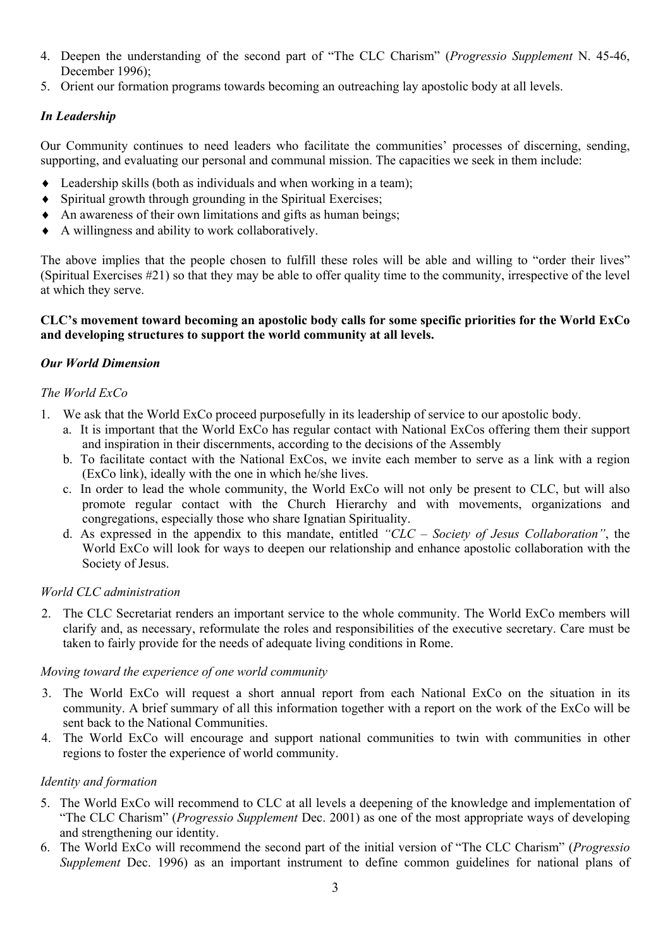- 4. Deepen the understanding of the second part of "The CLC Charism" (*Progressio Supplement* N. 45-46, December 1996):
- 5. Orient our formation programs towards becoming an outreaching lay apostolic body at all levels.

## *In Leadership*

Our Community continues to need leaders who facilitate the communities' processes of discerning, sending, supporting, and evaluating our personal and communal mission. The capacities we seek in them include:

- ♦ Leadership skills (both as individuals and when working in a team);
- ♦ Spiritual growth through grounding in the Spiritual Exercises;
- ♦ An awareness of their own limitations and gifts as human beings;
- ♦ A willingness and ability to work collaboratively.

The above implies that the people chosen to fulfill these roles will be able and willing to "order their lives" (Spiritual Exercises #21) so that they may be able to offer quality time to the community, irrespective of the level at which they serve.

#### **CLC's movement toward becoming an apostolic body calls for some specific priorities for the World ExCo and developing structures to support the world community at all levels.**

#### *Our World Dimension*

#### *The World ExCo*

- 1. We ask that the World ExCo proceed purposefully in its leadership of service to our apostolic body.
	- a. It is important that the World ExCo has regular contact with National ExCos offering them their support and inspiration in their discernments, according to the decisions of the Assembly
	- b. To facilitate contact with the National ExCos, we invite each member to serve as a link with a region (ExCo link), ideally with the one in which he/she lives.
	- c. In order to lead the whole community, the World ExCo will not only be present to CLC, but will also promote regular contact with the Church Hierarchy and with movements, organizations and congregations, especially those who share Ignatian Spirituality.
	- d. As expressed in the appendix to this mandate, entitled *"CLC Society of Jesus Collaboration"*, the World ExCo will look for ways to deepen our relationship and enhance apostolic collaboration with the Society of Jesus.

#### *World CLC administration*

2. The CLC Secretariat renders an important service to the whole community. The World ExCo members will clarify and, as necessary, reformulate the roles and responsibilities of the executive secretary. Care must be taken to fairly provide for the needs of adequate living conditions in Rome.

#### *Moving toward the experience of one world community*

- 3. The World ExCo will request a short annual report from each National ExCo on the situation in its community. A brief summary of all this information together with a report on the work of the ExCo will be sent back to the National Communities.
- 4. The World ExCo will encourage and support national communities to twin with communities in other regions to foster the experience of world community.

#### *Identity and formation*

- 5. The World ExCo will recommend to CLC at all levels a deepening of the knowledge and implementation of "The CLC Charism" (*Progressio Supplement* Dec. 2001) as one of the most appropriate ways of developing and strengthening our identity.
- 6. The World ExCo will recommend the second part of the initial version of "The CLC Charism" (*Progressio Supplement* Dec. 1996) as an important instrument to define common guidelines for national plans of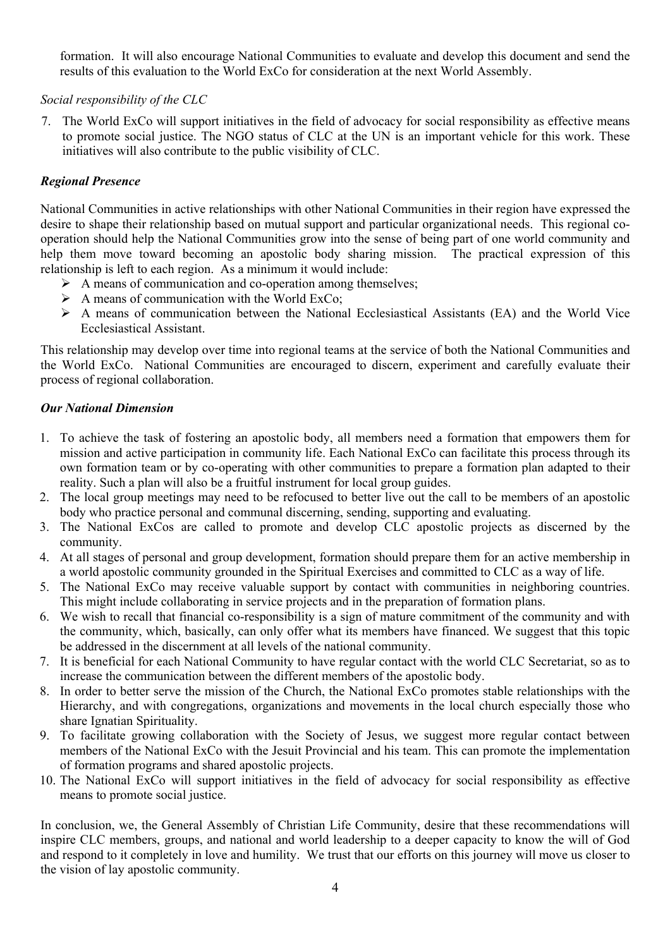formation. It will also encourage National Communities to evaluate and develop this document and send the results of this evaluation to the World ExCo for consideration at the next World Assembly.

#### *Social responsibility of the CLC*

7. The World ExCo will support initiatives in the field of advocacy for social responsibility as effective means to promote social justice. The NGO status of CLC at the UN is an important vehicle for this work. These initiatives will also contribute to the public visibility of CLC.

### *Regional Presence*

National Communities in active relationships with other National Communities in their region have expressed the desire to shape their relationship based on mutual support and particular organizational needs. This regional cooperation should help the National Communities grow into the sense of being part of one world community and help them move toward becoming an apostolic body sharing mission. The practical expression of this relationship is left to each region. As a minimum it would include:

- $\triangleright$  A means of communication and co-operation among themselves;
- $\triangleright$  A means of communication with the World ExCo;
- $\triangleright$  A means of communication between the National Ecclesiastical Assistants (EA) and the World Vice Ecclesiastical Assistant.

This relationship may develop over time into regional teams at the service of both the National Communities and the World ExCo. National Communities are encouraged to discern, experiment and carefully evaluate their process of regional collaboration.

#### *Our National Dimension*

- 1. To achieve the task of fostering an apostolic body, all members need a formation that empowers them for mission and active participation in community life. Each National ExCo can facilitate this process through its own formation team or by co-operating with other communities to prepare a formation plan adapted to their reality. Such a plan will also be a fruitful instrument for local group guides.
- 2. The local group meetings may need to be refocused to better live out the call to be members of an apostolic body who practice personal and communal discerning, sending, supporting and evaluating.
- 3. The National ExCos are called to promote and develop CLC apostolic projects as discerned by the community.
- 4. At all stages of personal and group development, formation should prepare them for an active membership in a world apostolic community grounded in the Spiritual Exercises and committed to CLC as a way of life.
- 5. The National ExCo may receive valuable support by contact with communities in neighboring countries. This might include collaborating in service projects and in the preparation of formation plans.
- 6. We wish to recall that financial co-responsibility is a sign of mature commitment of the community and with the community, which, basically, can only offer what its members have financed. We suggest that this topic be addressed in the discernment at all levels of the national community.
- 7. It is beneficial for each National Community to have regular contact with the world CLC Secretariat, so as to increase the communication between the different members of the apostolic body.
- 8. In order to better serve the mission of the Church, the National ExCo promotes stable relationships with the Hierarchy, and with congregations, organizations and movements in the local church especially those who share Ignatian Spirituality.
- 9. To facilitate growing collaboration with the Society of Jesus, we suggest more regular contact between members of the National ExCo with the Jesuit Provincial and his team. This can promote the implementation of formation programs and shared apostolic projects.
- 10. The National ExCo will support initiatives in the field of advocacy for social responsibility as effective means to promote social justice.

In conclusion, we, the General Assembly of Christian Life Community, desire that these recommendations will inspire CLC members, groups, and national and world leadership to a deeper capacity to know the will of God and respond to it completely in love and humility. We trust that our efforts on this journey will move us closer to the vision of lay apostolic community.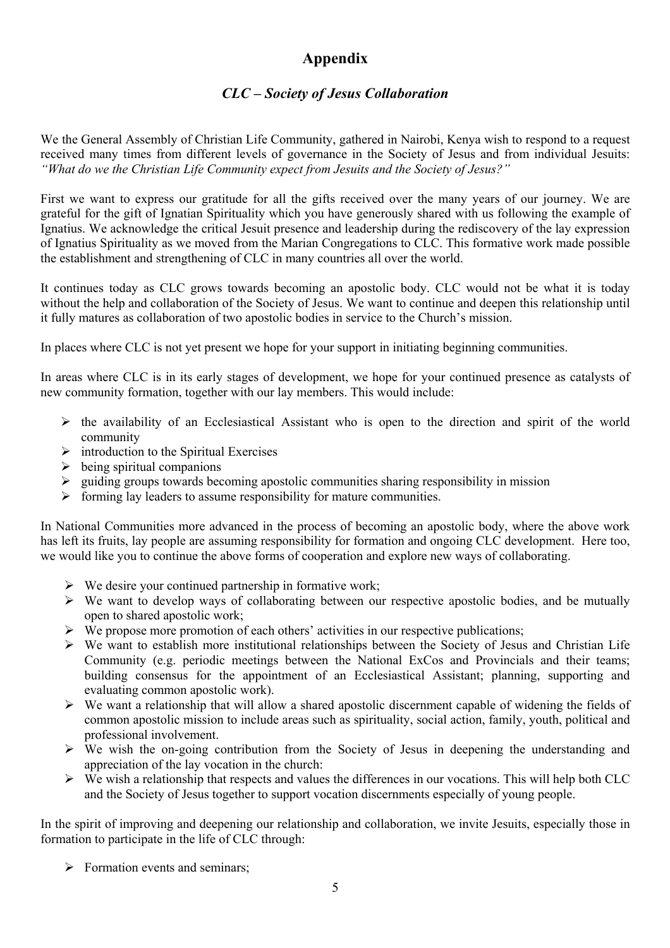# **Appendix**

## *CLC – Society of Jesus Collaboration*

We the General Assembly of Christian Life Community, gathered in Nairobi, Kenya wish to respond to a request received many times from different levels of governance in the Society of Jesus and from individual Jesuits: *"What do we the Christian Life Community expect from Jesuits and the Society of Jesus?"*

First we want to express our gratitude for all the gifts received over the many years of our journey. We are grateful for the gift of Ignatian Spirituality which you have generously shared with us following the example of Ignatius. We acknowledge the critical Jesuit presence and leadership during the rediscovery of the lay expression of Ignatius Spirituality as we moved from the Marian Congregations to CLC. This formative work made possible the establishment and strengthening of CLC in many countries all over the world.

It continues today as CLC grows towards becoming an apostolic body. CLC would not be what it is today without the help and collaboration of the Society of Jesus. We want to continue and deepen this relationship until it fully matures as collaboration of two apostolic bodies in service to the Church's mission.

In places where CLC is not yet present we hope for your support in initiating beginning communities.

In areas where CLC is in its early stages of development, we hope for your continued presence as catalysts of new community formation, together with our lay members. This would include:

- $\triangleright$  the availability of an Ecclesiastical Assistant who is open to the direction and spirit of the world community
- $\triangleright$  introduction to the Spiritual Exercises
- $\triangleright$  being spiritual companions
- $\triangleright$  guiding groups towards becoming apostolic communities sharing responsibility in mission
- $\triangleright$  forming lay leaders to assume responsibility for mature communities.

In National Communities more advanced in the process of becoming an apostolic body, where the above work has left its fruits, lay people are assuming responsibility for formation and ongoing CLC development. Here too, we would like you to continue the above forms of cooperation and explore new ways of collaborating.

- $\triangleright$  We desire your continued partnership in formative work;
- $\triangleright$  We want to develop ways of collaborating between our respective apostolic bodies, and be mutually open to shared apostolic work;
- $\triangleright$  We propose more promotion of each others' activities in our respective publications;
- $\triangleright$  We want to establish more institutional relationships between the Society of Jesus and Christian Life Community (e.g. periodic meetings between the National ExCos and Provincials and their teams; building consensus for the appointment of an Ecclesiastical Assistant; planning, supporting and evaluating common apostolic work).
- $\triangleright$  We want a relationship that will allow a shared apostolic discernment capable of widening the fields of common apostolic mission to include areas such as spirituality, social action, family, youth, political and professional involvement.
- $\triangleright$  We wish the on-going contribution from the Society of Jesus in deepening the understanding and appreciation of the lay vocation in the church:
- $\triangleright$  We wish a relationship that respects and values the differences in our vocations. This will help both CLC and the Society of Jesus together to support vocation discernments especially of young people.

In the spirit of improving and deepening our relationship and collaboration, we invite Jesuits, especially those in formation to participate in the life of CLC through:

 $\triangleright$  Formation events and seminars;